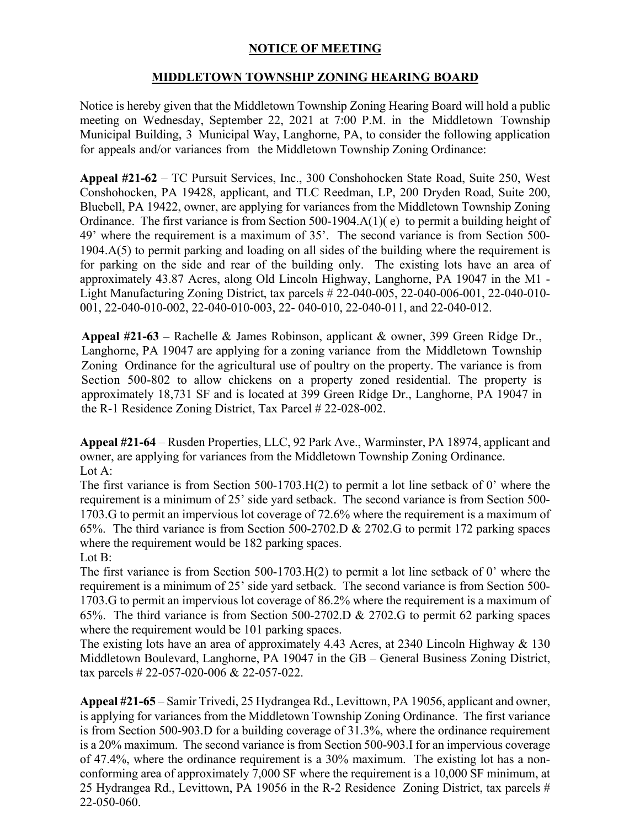## **NOTICE OF MEETING**

## **MIDDLETOWN TOWNSHIP ZONING HEARING BOARD**

Notice is hereby given that the Middletown Township Zoning Hearing Board will hold a public meeting on Wednesday, September 22, 2021 at 7:00 P.M. in the Middletown Township Municipal Building, 3 Municipal Way, Langhorne, PA, to consider the following application for appeals and/or variances from the Middletown Township Zoning Ordinance:

**Appeal #21-62** – TC Pursuit Services, Inc., 300 Conshohocken State Road, Suite 250, West Conshohocken, PA 19428, applicant, and TLC Reedman, LP, 200 Dryden Road, Suite 200, Bluebell, PA 19422, owner, are applying for variances from the Middletown Township Zoning Ordinance. The first variance is from Section 500-1904.A(1)( e) to permit a building height of 49' where the requirement is a maximum of 35'. The second variance is from Section 500- 1904.A(5) to permit parking and loading on all sides of the building where the requirement is for parking on the side and rear of the building only. The existing lots have an area of approximately 43.87 Acres, along Old Lincoln Highway, Langhorne, PA 19047 in the M1 - Light Manufacturing Zoning District, tax parcels # 22-040-005, 22-040-006-001, 22-040-010- 001, 22-040-010-002, 22-040-010-003, 22- 040-010, 22-040-011, and 22-040-012.

**Appeal #21-63 –** Rachelle & James Robinson, applicant & owner, 399 Green Ridge Dr., Langhorne, PA 19047 are applying for a zoning variance from the Middletown Township Zoning Ordinance for the agricultural use of poultry on the property. The variance is from Section 500-802 to allow chickens on a property zoned residential. The property is approximately 18,731 SF and is located at 399 Green Ridge Dr., Langhorne, PA 19047 in the R-1 Residence Zoning District, Tax Parcel # 22-028-002.

**Appeal #21-64** – Rusden Properties, LLC, 92 Park Ave., Warminster, PA 18974, applicant and owner, are applying for variances from the Middletown Township Zoning Ordinance. Lot A:

The first variance is from Section 500-1703.H(2) to permit a lot line setback of 0' where the requirement is a minimum of 25' side yard setback. The second variance is from Section 500- 1703.G to permit an impervious lot coverage of 72.6% where the requirement is a maximum of 65%. The third variance is from Section 500-2702.D & 2702.G to permit 172 parking spaces where the requirement would be 182 parking spaces. Lot B:

The first variance is from Section 500-1703.H(2) to permit a lot line setback of 0' where the requirement is a minimum of 25' side yard setback. The second variance is from Section 500- 1703.G to permit an impervious lot coverage of 86.2% where the requirement is a maximum of 65%. The third variance is from Section 500-2702.D & 2702.G to permit 62 parking spaces where the requirement would be 101 parking spaces.

The existing lots have an area of approximately 4.43 Acres, at 2340 Lincoln Highway & 130 Middletown Boulevard, Langhorne, PA 19047 in the GB – General Business Zoning District, tax parcels # 22-057-020-006 & 22-057-022.

**Appeal #21-65** – Samir Trivedi, 25 Hydrangea Rd., Levittown, PA 19056, applicant and owner, is applying for variances from the Middletown Township Zoning Ordinance. The first variance is from Section 500-903.D for a building coverage of 31.3%, where the ordinance requirement is a 20% maximum. The second variance is from Section 500-903.I for an impervious coverage of 47.4%, where the ordinance requirement is a 30% maximum. The existing lot has a nonconforming area of approximately 7,000 SF where the requirement is a 10,000 SF minimum, at 25 Hydrangea Rd., Levittown, PA 19056 in the R-2 Residence Zoning District, tax parcels # 22-050-060.